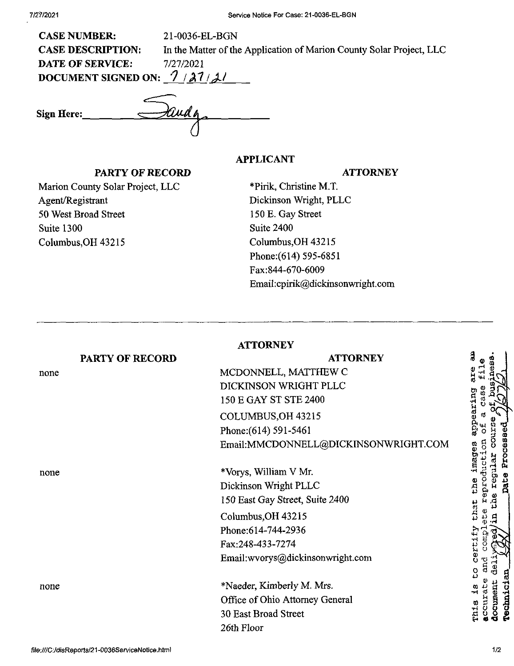| <b>CASE NUMBER:</b>            | 21-0036-EL-BGN                                                       |  |
|--------------------------------|----------------------------------------------------------------------|--|
| <b>CASE DESCRIPTION:</b>       | In the Matter of the Application of Marion County Solar Project, LLC |  |
| <b>DATE OF SERVICE:</b>        | 7/27/2021                                                            |  |
| 7/27/21<br>DOCUMENT SIGNED ON: |                                                                      |  |
|                                |                                                                      |  |
| <b>Sign Here:</b>              |                                                                      |  |
|                                |                                                                      |  |

## **APPLICANT**

## **ATTORNEY**

Marion County Solar Project, LLC Agent/Registrant 50 West Broad Street Suite 1300 Columbus,OH 43215

PARTY OF RECORD

\*Pirik, Christine M.T. Dickinson Wright, PLLC 150 E. Gay Street Suite 2400 Columbus,OH 43215 Phone: (614) 595-6851 Fax:844-670-6009 Email:cpirik@dickinsonwright.com

|                 | <b>ATTORNEY</b>                      |
|-----------------|--------------------------------------|
| PARTY OF RECORD | <b>ATTORNEY</b>                      |
| none            | MCDONNELL, MATTHEW C                 |
|                 | DICKINSON WRIGHT PLLC                |
|                 | 150 E GAY ST STE 2400                |
|                 | COLUMBUS, OH 43215                   |
|                 | Phone: (614) 591-5461                |
|                 | Email:MMCDONNELL@DICKINSONWRIGHT.COM |
| none            | *Vorys, William V Mr.                |
|                 | Dickinson Wright PLLC                |
|                 | 150 East Gay Street, Suite 2400      |
|                 | Columbus, OH 43215                   |
|                 | Phone: 614-744-2936                  |
|                 | Fax:248-433-7274                     |
|                 | Email:wvorys@dickinsonwright.com     |
| none            | *Naeder, Kimberly M. Mrs.            |
|                 | Office of Ohio Attorney General      |
|                 | 30 East Broad Street                 |
|                 | 26th Floor                           |